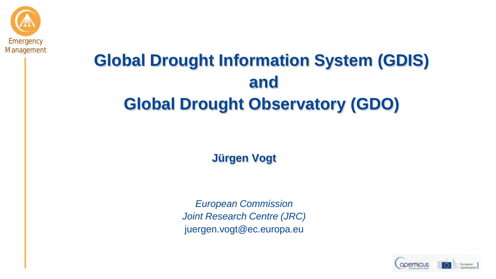

# **Global Drought Information System (GDIS) and Global Drought Observatory (GDO)**

**Jürgen Vogt**

*European Commission Joint Research Centre (JRC)* juergen.vogt@ec.europa.eu

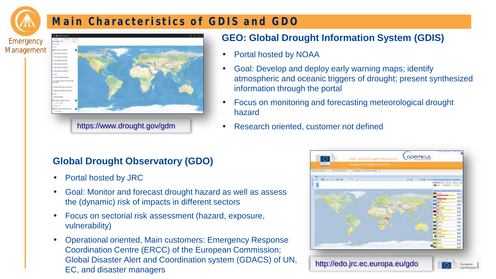

#### **Main Characteristics of GDIS and GDO**



#### **GEO: Global Drought Information System (GDIS)**

- Portal hosted by NOAA
- Goal: Develop and deploy early warning maps; identify atmospheric and oceanic triggers of drought; present synthesized information through the portal
- Focus on monitoring and forecasting meteorological drought hazard
- https://www.drought.gov/gdm · Research oriented, customer not defined

#### **Global Drought Observatory (GDO)**

- Portal hosted by JRC
- Goal: Monitor and forecast drought hazard as well as assess the (dynamic) risk of impacts in different sectors
- Focus on sectorial risk assessment (hazard, exposure, vulnerability)
- Operational oriented, Main customers: Emergency Response Coordination Centre (ERCC) of the European Commission; Global Disaster Alert and Coordination system (GDACS) of UN, Giobal Disaster Alert and Coordination system (GDACS) or ON, http://edo.jrc.ec.europa.eu/gdo.<br>EC, and disaster managers

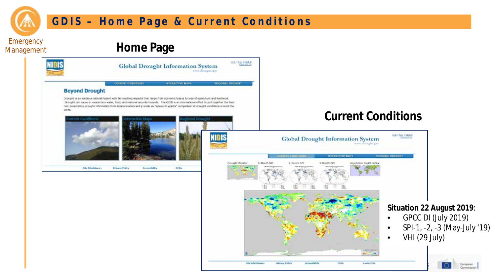

#### **GDIS – Home Page & Current Conditions**

**Emergency** Management

#### **Home Page**



pile clasimines

**Privacy Folks** 

Accessibility

FORA

#### **Current Conditions**

European Commissio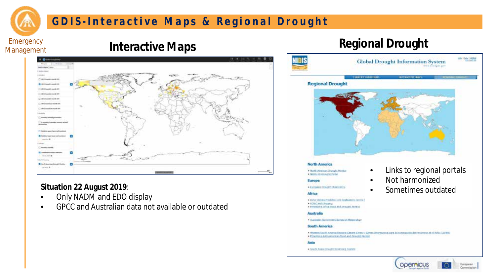

#### **GDIS - Interactive Maps & Regional Drought**

Emergency Management

# **Interactive Maps Regional Drought**



#### **Situation 22 August 2019**:

- Only NADM and EDO display
- GPCC and Australian data not available or outdated

#### sale 13g/s 7.000g **Global Drought Information System** The design give **Constat constitue NITSKETHERA Regional Drought North America** Links to regional portals + Hurth Atrainant Drought Member . NOIS 20 Anaught field • Not harmonized Europe · Earngeart Drought (Staarcatory • Sometimes outdatedAfrica · ISAD Online President and Application Centre + 1006 Will Nicarg . ICONOMICA APPLIX PANEL AND DEVELOPED MANRING Australia Australian Gerentman's Bureau of Meteorology South America \* WHATER SOUTH ADMINIST RESIDENT LIBRARY LEGACY LEASTER STRONGOOD DES IN INVESTIGATION OR FOOTING AS STRAIN (LISTER) . Prestor's Latin American Storil and Draught Hunder Asia . South Assn. Drought Hendoots Symme

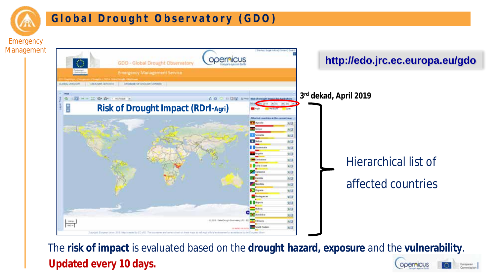

#### **Global Drought Observatory (GDO)**

Management



The **risk of impact** is evaluated based on the **drought hazard, exposure** and the **vulnerability**. **Updated every 10 days.** European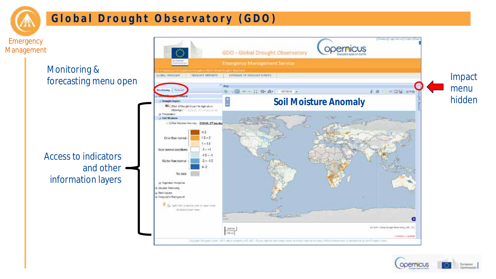

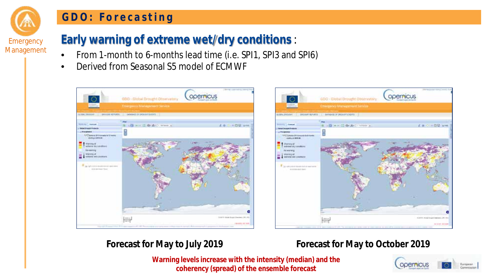#### **GDO: Forecasting**

**Emergency** Management

# **Early warning of extreme wet/dry conditions** :

- From 1-month to 6-months lead time (i.e. SPI1, SPI3 and SPI6)
- Derived from Seasonal S5 model of ECMWF





#### **Forecast for May to July 2019 Forecast for May to October 2019**

**Warning levels increase with the intensity (median) and the coherency (spread) of the ensemble forecast**

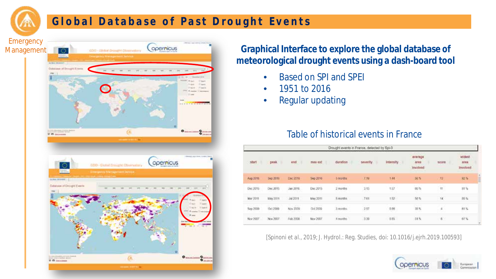

#### **Global Database of Past Drought Events**



**Graphical Interface to explore the global database of meteorological drought events using a dash-board tool**

- Based on SPI and SPEI
- 1951 to 2016
- Regular updating

#### Table of historical events in France

| Drought events in France, delected by Spi-3 |                   |                        |                                |                 |                     |           |                             |              |                                          |
|---------------------------------------------|-------------------|------------------------|--------------------------------|-----------------|---------------------|-----------|-----------------------------|--------------|------------------------------------------|
| start                                       | peak.             | end                    | max ext<br><b>CONTRACTOR</b>   | duration        | <b>beverify</b>     | Intensity | average<br>area<br>Involved | score        | <b>Widest</b><br>stea<br><b>Involved</b> |
| Aug 2016                                    | Sep 2016          | Dec 2016               | Sep 2016                       | <b>B</b> borths | $X, Y$ <sup>2</sup> | <b>SM</b> | 56%                         | $\mathbf{u}$ | 92%                                      |
| Dec 2015                                    | Dec 2015          | Jan 2016               | Dec 2015                       | $2$ months      | 3.13                | 137       | so's<br>$\sim$              | $\eta$       | 21 S                                     |
| Mar 2019                                    | May 2011          | 342011                 | May 2011                       | 5 months        | 7.81                | 152       | 50%                         | $+4$         | 35.56                                    |
| ----<br>Sep 2009                            | Oct 2009<br>wonn. | Nov 2009<br>1010434044 | 20223<br>Oct 2009<br>-2323.740 | 3 months.       | 533<br>257<br>--    | 佐勝        | Becht<br>当年<br>$\sim$       | ÷            | .<br>$n \leq$<br>W SS 1                  |
| Nov 2007                                    | Nov 2007          | Feb 2008               | Nov 2007                       | 4 months        | 3.36                | 0.85      | 31%                         | 2.8%         | 67%                                      |

[*Spinoni et al.,* 2019; J. Hydrol.: Reg. Studies, doi: 10.1016/j.ejrh.2019.100593]

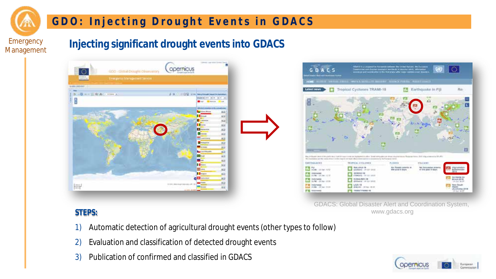

#### **GDO: Injecting Drought Events in GDACS**

#### **Injecting significant drought events into GDACS**





GDACS: Global Disaster Alert and Coordination System, www.gdacs.org

- 1) Automatic detection of agricultural drought events (other types to follow)
- 2) Evaluation and classification of detected drought events
- 3) Publication of confirmed and classified in GDACS

**STEPS:**

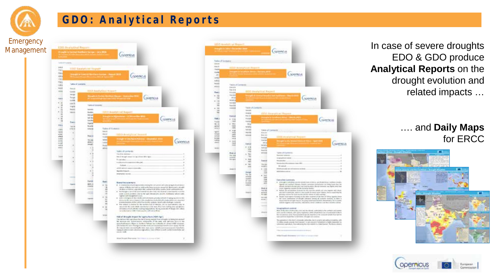

### **GDO: Analytical Reports**

|                                                |                                                  | committee                                                                                                                                                                                                                                                                                                        |
|------------------------------------------------|--------------------------------------------------|------------------------------------------------------------------------------------------------------------------------------------------------------------------------------------------------------------------------------------------------------------------------------------------------------------------|
|                                                |                                                  |                                                                                                                                                                                                                                                                                                                  |
| <b>Selectional</b>                             |                                                  |                                                                                                                                                                                                                                                                                                                  |
| <b>UKBA</b><br>Her                             | <b>LUD Seatchmi Hopert</b>                       |                                                                                                                                                                                                                                                                                                                  |
| 56                                             | <b>Service Control Professional Profession</b>   | --                                                                                                                                                                                                                                                                                                               |
| 14.1<br>visit                                  |                                                  | coemcus                                                                                                                                                                                                                                                                                                          |
| tive.<br><b>With INT LAUKARIN</b><br>toty.     |                                                  |                                                                                                                                                                                                                                                                                                                  |
| torn<br><b>Baron</b>                           |                                                  |                                                                                                                                                                                                                                                                                                                  |
| <b>SKA</b><br><b>SHA</b>                       | EITH AGAN HALL TOANT                             |                                                                                                                                                                                                                                                                                                                  |
| <b>House</b><br><b>Senate</b><br><b>Supply</b> |                                                  | Separate Langs Section Earner States<br><b>Coomous</b>                                                                                                                                                                                                                                                           |
| Scribbe<br>٠<br>$\epsilon$<br>1481             |                                                  |                                                                                                                                                                                                                                                                                                                  |
| ٠<br>high<br>٠                                 | Televillowed:                                    |                                                                                                                                                                                                                                                                                                                  |
| <b>Basic</b><br>ž<br><b>Viney</b>              | <b>Scientist</b><br><b>SHEH</b>                  | <b>Sitti exalginal bepoint</b>                                                                                                                                                                                                                                                                                   |
| ٠<br>۰                                         | henye<br>tol later                               |                                                                                                                                                                                                                                                                                                                  |
| ×<br>×<br>۰<br><b>build</b>                    | tion that                                        | <b>GODTFROUS</b>                                                                                                                                                                                                                                                                                                 |
| 856<br><b>Tok-A</b>                            | <b>Vanil</b><br><b>Board</b>                     |                                                                                                                                                                                                                                                                                                                  |
| o bea<br>1000<br>turi.                         | when<br><b>Grand</b>                             | Table of Customers                                                                                                                                                                                                                                                                                               |
| $\mathcal{V}_{\mathcal{R}}$<br>en i<br>chair   | <b>Bottom</b><br><b>Electric</b><br><b>Shake</b> | <b>GICCL development Second</b>                                                                                                                                                                                                                                                                                  |
| 144<br>٠<br>state.                             | latest<br>This state                             |                                                                                                                                                                                                                                                                                                                  |
| w.ca<br>and a<br>٠                             | diary.<br>$1 - 6.6$<br>inspli<br>ting            | operation                                                                                                                                                                                                                                                                                                        |
| $\frac{1}{2}$                                  | 4.9<br>44m                                       |                                                                                                                                                                                                                                                                                                                  |
|                                                | 13                                               | <b>Sadda of Liamento</b><br>The Pitz Antique                                                                                                                                                                                                                                                                     |
| m                                              |                                                  | this is straight leader for decisions differ late.<br><b>Report Follows</b>                                                                                                                                                                                                                                      |
|                                                | $\ddot{\phantom{a}}$                             | makes a a capacitative (w).                                                                                                                                                                                                                                                                                      |
|                                                | ٠                                                | <b>Sylick</b> contractors<br>saled rates to constitution about                                                                                                                                                                                                                                                   |
|                                                | ٠                                                | <b>Rental Chael Co.</b><br><b>STATUTE ISSUE</b>                                                                                                                                                                                                                                                                  |
|                                                | ٠                                                |                                                                                                                                                                                                                                                                                                                  |
|                                                | <b>Europe</b><br>fact                            | <b>Blueste Florid Automobile </b>                                                                                                                                                                                                                                                                                |
|                                                | $445 - 4$<br>۰<br>114.64<br>٠                    | A - A conditioned of paint percention shall play one which yield any good to this obverse<br>raise of finis and and an independence as soon assuring departments as a di-                                                                                                                                        |
|                                                | $-100$<br>ö<br>۰                                 | chillion a Foldow specially on the could print of the country childs and studentials.<br>A. Big Brown in print all boot substitute pain free the departments to substitute                                                                                                                                       |
|                                                | ×                                                | crow public stations, the technique decomposition dealers and a local con-<br>TopPen she changement coups.                                                                                                                                                                                                       |
|                                                | <b>Labour</b><br>ü<br>٠                          | a administrational duration of the competency of the information of the method<br>de la participat de l'article de la participat de la composició de la participat de la participat de la participat de la composició de la participat de la fin de la composició de la fin de la composició de la fin de la com |
|                                                | ×<br>٠                                           | In the collect is analysis for the service status manual, our as institutions one of<br>an artist for a problem with a continuity of the man, fixed basis righting prior and shares.                                                                                                                             |
|                                                | ×                                                | all'isition of tuttorità illa inselling longuisationi, The lay controller it bloods in chiesis<br>the buffer load of the distribution of the rest of their                                                                                                                                                       |
|                                                | $-11$                                            | High all Brought impubliker agriculture (HAM Agri).                                                                                                                                                                                                                                                              |
|                                                |                                                  | The rest and Ale cust show the heliud boxes awards from a treated in terms to as stand-<br>the manual and departments collectable of training with sand-ske field at the                                                                                                                                         |
|                                                |                                                  | appropriate twenty than 11 Southern Selecter for a contrasty of 1 January 1988, receptors<br>plemates to see fleety a tends not collect policies for your skills through                                                                                                                                         |
|                                                |                                                  | In contract that is not reliable to the chair agent of the core manipular transfers.<br>tripog ht protects and colorations agreed art, trace of \$900 (a north content constitute and<br><b>HASK-TAR</b>                                                                                                         |
|                                                |                                                  | High Dream Preview Telephone A Army (1993)                                                                                                                                                                                                                                                                       |

|                                          | Imaginini alla «Decenier das           |                                  |                                 | <b>COOPPICUS</b>                                                                                                                                                                                                                                                                                              |           |
|------------------------------------------|----------------------------------------|----------------------------------|---------------------------------|---------------------------------------------------------------------------------------------------------------------------------------------------------------------------------------------------------------------------------------------------------------------------------------------------------------|-----------|
|                                          |                                        |                                  |                                 |                                                                                                                                                                                                                                                                                                               |           |
| <b>ToDe of Economic</b><br><b>Server</b> |                                        |                                  |                                 |                                                                                                                                                                                                                                                                                                               |           |
| <b>SAP</b>                               |                                        |                                  |                                 |                                                                                                                                                                                                                                                                                                               |           |
| TWEE                                     |                                        | NIII? BAHyTILd! Report           |                                 |                                                                                                                                                                                                                                                                                                               |           |
| <b>Fords</b><br>$\left( 0, \right)$      |                                        |                                  |                                 | <b>ODDIFICUS</b>                                                                                                                                                                                                                                                                                              |           |
| <b>HARRY</b>                             |                                        |                                  |                                 |                                                                                                                                                                                                                                                                                                               |           |
| 34.441                                   |                                        |                                  |                                 |                                                                                                                                                                                                                                                                                                               |           |
| <b>Small</b>                             | false of Ceramic                       |                                  |                                 |                                                                                                                                                                                                                                                                                                               |           |
| <b>MARIN</b>                             | Earnity<br><b>Back</b>                 |                                  |                                 |                                                                                                                                                                                                                                                                                                               |           |
| fires:                                   | <b>Excellent</b>                       |                                  | <b>BOD Analytical Regent</b>    |                                                                                                                                                                                                                                                                                                               |           |
| $-74$                                    | <b>Standard</b>                        |                                  |                                 |                                                                                                                                                                                                                                                                                                               |           |
| w<br>$\sim$                              | diam <sup>2</sup><br><b>but and as</b> |                                  |                                 | <b>ODDITIONS</b>                                                                                                                                                                                                                                                                                              |           |
| u                                        | Tol date                               |                                  |                                 |                                                                                                                                                                                                                                                                                                               |           |
| ü<br>×                                   | <b>American</b><br>--                  |                                  | Table of Contents               |                                                                                                                                                                                                                                                                                                               |           |
| $\blacksquare$<br>$\sim$                 |                                        | <b>Senato</b>                    |                                 |                                                                                                                                                                                                                                                                                                               |           |
| m                                        |                                        | <b>TOO AND</b>                   |                                 | <b>Gfith American Reports</b>                                                                                                                                                                                                                                                                                 |           |
| <b>Fall</b>                              | Execut<br>$4 - 444$                    | \$5.67<br><b>Award</b>           |                                 |                                                                                                                                                                                                                                                                                                               |           |
| Fixibi                                   | $-44$                                  | <b>Business</b>                  |                                 | coorkow                                                                                                                                                                                                                                                                                                       |           |
| to in<br>ari ol                          | in a<br>٠<br><b>Latin</b>              | <b>HEN</b><br>news               |                                 |                                                                                                                                                                                                                                                                                                               |           |
| tehnik B                                 | $+4$                                   | <b>Suit Ser</b>                  |                                 |                                                                                                                                                                                                                                                                                                               |           |
| wer<br>totale                            | Print,<br>٠                            | <b>Source</b>                    | Arizon in                       |                                                                                                                                                                                                                                                                                                               |           |
| inia                                     |                                        | <b>Affirmed</b>                  | <b>Braker</b><br><b>Europe</b>  | <b>HIII Analytrial Nepart</b>                                                                                                                                                                                                                                                                                 |           |
| <b>bina</b><br>sales                     | special<br>64                          |                                  | training                        |                                                                                                                                                                                                                                                                                                               |           |
| m                                        | $\sim$                                 | tance                            | 10.4<br>nous.                   |                                                                                                                                                                                                                                                                                                               | operation |
| $-10$                                    |                                        | $+1.0$                           | <b>Surface</b>                  |                                                                                                                                                                                                                                                                                                               |           |
|                                          |                                        | <b>COL</b><br>$\sim$             |                                 |                                                                                                                                                                                                                                                                                                               |           |
|                                          | <b>Rival of</b><br>$-14$               | u,<br>×                          | Actual Corp.                    | Talen of CustomEL<br><b>Electrologic Automobile</b>                                                                                                                                                                                                                                                           |           |
|                                          |                                        |                                  |                                 | the graphical instants                                                                                                                                                                                                                                                                                        |           |
|                                          |                                        | $\sim$                           | Terror                          | Monday Model & Andeles Avenue (1984).                                                                                                                                                                                                                                                                         |           |
|                                          |                                        | $\sim$<br><b>STEP</b>            | <b>Harristo</b><br><b>HORSE</b> |                                                                                                                                                                                                                                                                                                               |           |
|                                          | <b>Holten</b>                          |                                  | 6.144<br>$\sim$                 | initializationally held on the design constraints.                                                                                                                                                                                                                                                            |           |
|                                          |                                        | ing<br>$\sim$                    | $-$                             | <b>Information controls</b>                                                                                                                                                                                                                                                                                   |           |
|                                          |                                        | <b>STATE</b><br>suite de         | ù<br>$\sim$<br>m                |                                                                                                                                                                                                                                                                                                               |           |
|                                          |                                        | $47 - 146$                       | $-1$                            | <b>DelcyThe Lumbers</b>                                                                                                                                                                                                                                                                                       |           |
|                                          |                                        | <b>Scottered</b><br><b>LABOR</b> | m                               | . If you want to select the constitution of the constitution of the consti-<br>figures and workers (Margin) drapps currented passiglication and living fraces than the                                                                                                                                        |           |
|                                          |                                        |                                  | <b>Work &amp;</b>               | Share deviations and one was conditioned by the antique was highly done that<br>most trapient mission for the numbers factory.                                                                                                                                                                                |           |
|                                          |                                        | max                              | $164 - 30$<br><b>CO</b>         | . Solved the seventhene between the fact that mostly and the regional and contact the                                                                                                                                                                                                                         |           |
|                                          |                                        |                                  | <b>Side Cold</b>                | graving connects for historical states states of only contrast.<br>In The sales has already collected and the collected and the function of states, inputed about                                                                                                                                             |           |
|                                          |                                        |                                  | Arrests.                        | In suit certains it doubt rations assn at contact schut, or fare a                                                                                                                                                                                                                                            |           |
|                                          |                                        |                                  |                                 | depoint that this after player department and principles and enough them a detection against the to countrie,<br>Institute inaugment areas surprised a referenceive systems considerate countries or interactive a consist.                                                                                   |           |
|                                          |                                        |                                  | -                               |                                                                                                                                                                                                                                                                                                               |           |
|                                          |                                        |                                  | states.                         | NONDRAFTEN CONTINUES.<br>this of the lays of this but a lot any the datase, policying is his contacts and paints.                                                                                                                                                                                             |           |
|                                          |                                        |                                  |                                 | own will the broke dry with space headquips within sympatricial and colorate and in order in<br>the mountance alone. Auxtraractionic goods shaped up the simpled call after function                                                                                                                          |           |
|                                          |                                        |                                  |                                 | term and from their relate that the experience. Because and con-                                                                                                                                                                                                                                              |           |
|                                          |                                        |                                  |                                 | The publishers in this man is determined, networking down to send to set pethod or several with<br>IT children parallel angulas forest company in and presented in programme a higher department on.<br>Information agriculture, these subsecting the stable transition of the transitional flux decays. Also |           |
|                                          |                                        |                                  |                                 |                                                                                                                                                                                                                                                                                                               |           |
|                                          |                                        |                                  |                                 | The children control of select it does                                                                                                                                                                                                                                                                        |           |
|                                          |                                        |                                  |                                 |                                                                                                                                                                                                                                                                                                               |           |
|                                          |                                        |                                  |                                 | With South Stewart com-<br><b>Contract Contract</b>                                                                                                                                                                                                                                                           |           |

In case of severe droughts EDO & GDO produce **Analytical Reports** on the drought evolution and related impacts …

#### …. and **Daily Maps**  for ERCC



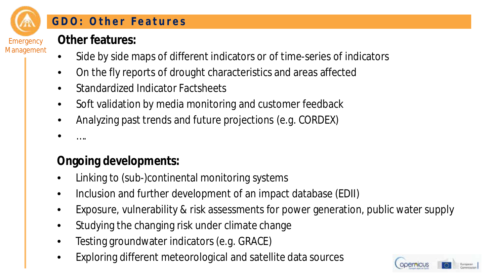

#### **GDO: Other Features**

- Side by side maps of different indicators or of time-series of indicators
- On the fly reports of drought characteristics and areas affected
- Standardized Indicator Factsheets
- Soft validation by media monitoring and customer feedback
- Analyzing past trends and future projections (e.g. CORDEX)
- ….

# **Ongoing developments:**

- Linking to (sub-)continental monitoring systems
- Inclusion and further development of an impact database (EDII)
- Exposure, vulnerability & risk assessments for power generation, public water supply
- Studying the changing risk under climate change
- Testing groundwater indicators (e.g. GRACE)
- Exploring different meteorological and satellite data sources

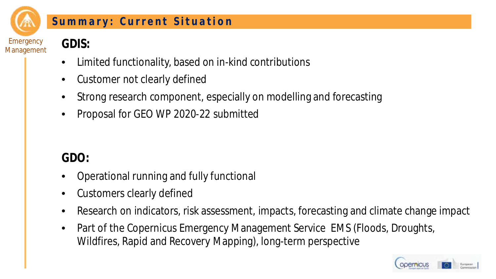

Management

#### **Summary: Current Situation**

**GDIS:**

- Limited functionality, based on in-kind contributions
- Customer not clearly defined
- Strong research component, especially on modelling and forecasting
- Proposal for GEO WP 2020-22 submitted

# **GDO:**

- Operational running and fully functional
- Customers clearly defined
- Research on indicators, risk assessment, impacts, forecasting and climate change impact
- Part of the Copernicus Emergency Management Service EMS (Floods, Droughts, Wildfires, Rapid and Recovery Mapping), long-term perspective

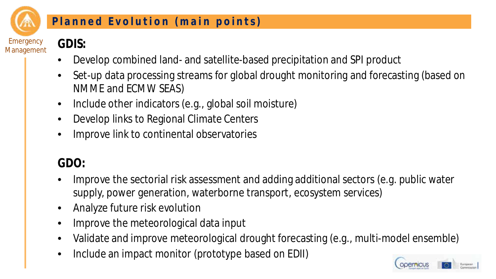

Management

#### **Planned Evolution (main points)**

# **GDIS:**

- Develop combined land- and satellite-based precipitation and SPI product
- Set-up data processing streams for global drought monitoring and forecasting (based on NMME and ECMW SEAS)
- Include other indicators (e.g., global soil moisture)
- Develop links to Regional Climate Centers
- Improve link to continental observatories

# **GDO:**

- Improve the sectorial risk assessment and adding additional sectors (e.g. public water supply, power generation, waterborne transport, ecosystem services)
- Analyze future risk evolution
- Improve the meteorological data input
- Validate and improve meteorological drought forecasting (e.g., multi-model ensemble)
- Include an impact monitor (prototype based on EDII)